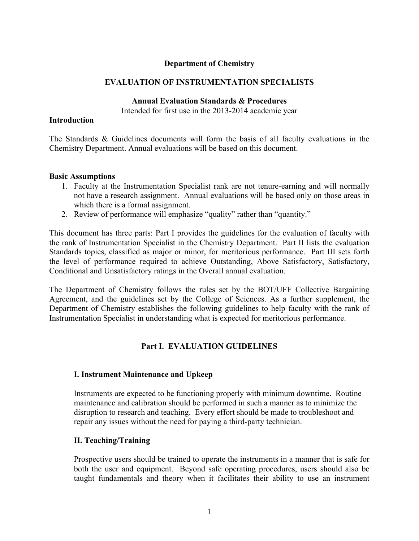#### **Department of Chemistry**

#### **EVALUATION OF INSTRUMENTATION SPECIALISTS**

#### **Annual Evaluation Standards & Procedures**

Intended for first use in the 2013-2014 academic year

#### **Introduction**

The Standards & Guidelines documents will form the basis of all faculty evaluations in the Chemistry Department. Annual evaluations will be based on this document.

#### **Basic Assumptions**

- 1. Faculty at the Instrumentation Specialist rank are not tenure-earning and will normally not have a research assignment. Annual evaluations will be based only on those areas in which there is a formal assignment.
- 2. Review of performance will emphasize "quality" rather than "quantity."

This document has three parts: Part I provides the guidelines for the evaluation of faculty with the rank of Instrumentation Specialist in the Chemistry Department. Part II lists the evaluation Standards topics, classified as major or minor, for meritorious performance. Part III sets forth the level of performance required to achieve Outstanding, Above Satisfactory, Satisfactory, Conditional and Unsatisfactory ratings in the Overall annual evaluation.

The Department of Chemistry follows the rules set by the BOT/UFF Collective Bargaining Agreement, and the guidelines set by the College of Sciences. As a further supplement, the Department of Chemistry establishes the following guidelines to help faculty with the rank of Instrumentation Specialist in understanding what is expected for meritorious performance.

## **Part I. EVALUATION GUIDELINES**

#### **I. Instrument Maintenance and Upkeep**

Instruments are expected to be functioning properly with minimum downtime. Routine maintenance and calibration should be performed in such a manner as to minimize the disruption to research and teaching. Every effort should be made to troubleshoot and repair any issues without the need for paying a third-party technician.

#### **II. Teaching/Training**

Prospective users should be trained to operate the instruments in a manner that is safe for both the user and equipment. Beyond safe operating procedures, users should also be taught fundamentals and theory when it facilitates their ability to use an instrument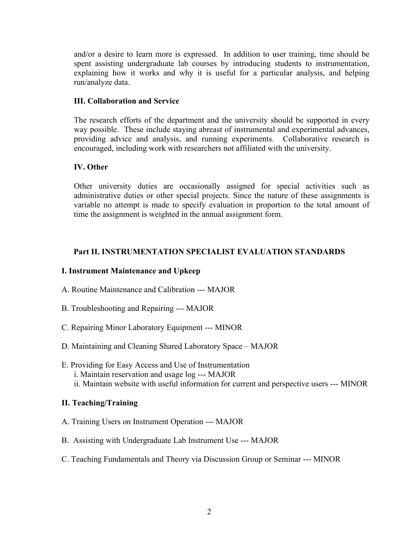and/or a desire to learn more is expressed. In addition to user training, time should be spent assisting undergraduate lab courses by introducing students to instrumentation, explaining how it works and why it is useful for a particular analysis, and helping run/analyze data.

#### **III. Collaboration and Service**

The research efforts of the department and the university should be supported in every way possible. These include staying abreast of instrumental and experimental advances, providing advice and analysis, and running experiments. Collaborative research is encouraged, including work with researchers not affiliated with the university.

## **IV. Other**

Other university duties are occasionally assigned for special activities such as administrative duties or other special projects. Since the nature of these assignments is variable no attempt is made to specify evaluation in proportion to the total amount of time the assignment is weighted in the annual assignment form.

## **Part II. INSTRUMENTATION SPECIALIST EVALUATION STANDARDS**

## **I. Instrument Maintenance and Upkeep**

- A. Routine Maintenance and Calibration --- MAJOR
- B. Troubleshooting and Repairing --- MAJOR
- C. Repairing Minor Laboratory Equipment --- MINOR
- D. Maintaining and Cleaning Shared Laboratory Space MAJOR
- E. Providing for Easy Access and Use of Instrumentation i. Maintain reservation and usage log --- MAJOR ii. Maintain website with useful information for current and perspective users --- MINOR

## **II. Teaching/Training**

- A. Training Users on Instrument Operation --- MAJOR
- B. Assisting with Undergraduate Lab Instrument Use --- MAJOR
- C. Teaching Fundamentals and Theory via Discussion Group or Seminar --- MINOR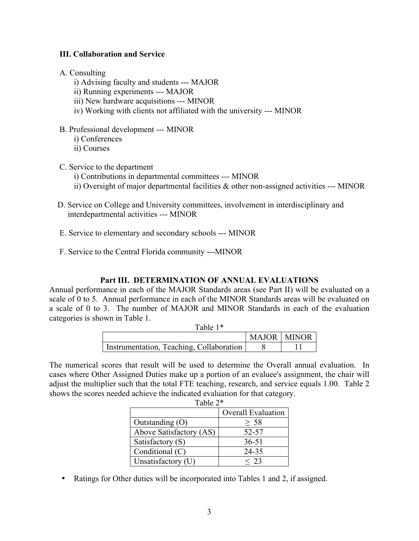#### **III. Collaboration and Service**

#### A. Consulting

- i) Advising faculty and students --- MAJOR
- ii) Running experiments --- MAJOR
- iii) New hardware acquisitions --- MINOR
- iv) Working with clients not affiliated with the university --- MINOR
- B. Professional development --- MINOR
	- i) Conferences
	- ii) Courses
- C. Service to the department
	- i) Contributions in departmental committees --- MINOR
	- ii) Oversight of major departmental facilities & other non-assigned activities --- MINOR
- D. Service on College and University committees, involvement in interdisciplinary and interdepartmental activities --- MINOR
- E. Service to elementary and secondary schools --- MINOR
- F. Service to the Central Florida community ---MINOR

#### **Part III. DETERMINATION OF ANNUAL EVALUATIONS**

Annual performance in each of the MAJOR Standards areas (see Part II) will be evaluated on a scale of 0 to 5. Annual performance in each of the MINOR Standards areas will be evaluated on a scale of 0 to 3. The number of MAJOR and MINOR Standards in each of the evaluation categories is shown in Table 1.

| Table 1 <sup>*</sup>                     |                      |  |
|------------------------------------------|----------------------|--|
|                                          | <b>MAJOR   MINOR</b> |  |
| Instrumentation, Teaching, Collaboration |                      |  |

The numerical scores that result will be used to determine the Overall annual evaluation. In cases where Other Assigned Duties make up a portion of an evaluee's assignment, the chair will adjust the multiplier such that the total FTE teaching, research, and service equals 1.00. Table 2 shows the scores needed achieve the indicated evaluation for that category. Table 2\*

|                         | <b>Overall Evaluation</b> |  |
|-------------------------|---------------------------|--|
| Outstanding $(O)$       | $\geq 58$                 |  |
| Above Satisfactory (AS) | 52-57                     |  |
| Satisfactory (S)        | $36 - 51$                 |  |
| Conditional (C)         | 24-35                     |  |
| Unsatisfactory (U)      | < 23                      |  |

- 
- Ratings for Other duties will be incorporated into Tables 1 and 2, if assigned.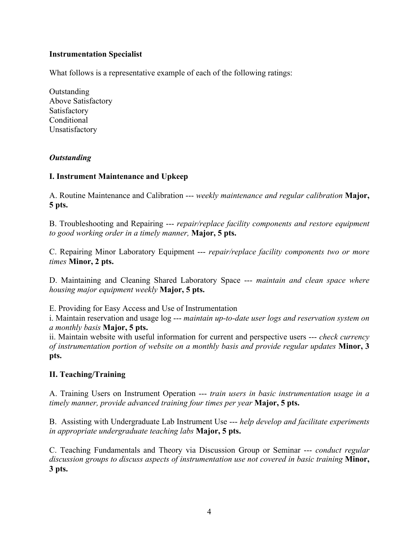## **Instrumentation Specialist**

What follows is a representative example of each of the following ratings:

**Outstanding** Above Satisfactory Satisfactory **Conditional** Unsatisfactory

## *Outstanding*

## **I. Instrument Maintenance and Upkeep**

A. Routine Maintenance and Calibration --- *weekly maintenance and regular calibration* **Major, 5 pts.**

B. Troubleshooting and Repairing --- *repair/replace facility components and restore equipment to good working order in a timely manner,* **Major, 5 pts.**

C. Repairing Minor Laboratory Equipment --- *repair/replace facility components two or more times* **Minor, 2 pts.**

D. Maintaining and Cleaning Shared Laboratory Space --- *maintain and clean space where housing major equipment weekly* **Major, 5 pts.**

E. Providing for Easy Access and Use of Instrumentation

i. Maintain reservation and usage log --- *maintain up-to-date user logs and reservation system on a monthly basis* **Major, 5 pts.**

ii. Maintain website with useful information for current and perspective users --- *check currency of instrumentation portion of website on a monthly basis and provide regular updates* **Minor, 3 pts.**

## **II. Teaching/Training**

A. Training Users on Instrument Operation --- *train users in basic instrumentation usage in a timely manner, provide advanced training four times per year* **Major, 5 pts.**

B. Assisting with Undergraduate Lab Instrument Use --- *help develop and facilitate experiments in appropriate undergraduate teaching labs* **Major, 5 pts.**

C. Teaching Fundamentals and Theory via Discussion Group or Seminar --- *conduct regular discussion groups to discuss aspects of instrumentation use not covered in basic training* **Minor, 3 pts.**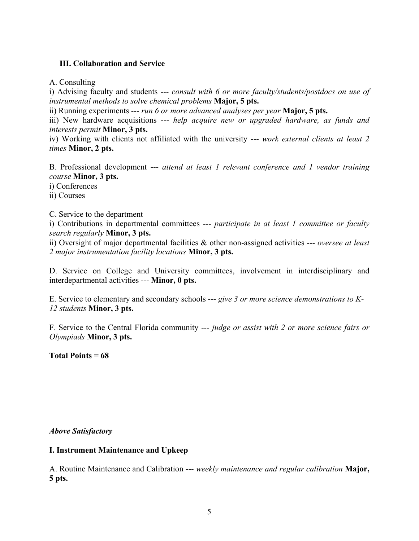## **III. Collaboration and Service**

A. Consulting

i) Advising faculty and students --- *consult with 6 or more faculty/students/postdocs on use of instrumental methods to solve chemical problems* **Major, 5 pts.**

ii) Running experiments --- *run 6 or more advanced analyses per year* **Major, 5 pts.**

iii) New hardware acquisitions --- *help acquire new or upgraded hardware, as funds and interests permit* **Minor, 3 pts.**

iv) Working with clients not affiliated with the university --- *work external clients at least 2 times* **Minor, 2 pts.**

B. Professional development --- *attend at least 1 relevant conference and 1 vendor training course* **Minor, 3 pts.**

i) Conferences

ii) Courses

C. Service to the department

i) Contributions in departmental committees --- *participate in at least 1 committee or faculty search regularly* **Minor, 3 pts.**

ii) Oversight of major departmental facilities & other non-assigned activities --- *oversee at least 2 major instrumentation facility locations* **Minor, 3 pts.**

D. Service on College and University committees, involvement in interdisciplinary and interdepartmental activities --- **Minor, 0 pts.**

E. Service to elementary and secondary schools --- *give 3 or more science demonstrations to K-12 students* **Minor, 3 pts.**

F. Service to the Central Florida community --- *judge or assist with 2 or more science fairs or Olympiads* **Minor, 3 pts.**

**Total Points = 68**

*Above Satisfactory*

## **I. Instrument Maintenance and Upkeep**

A. Routine Maintenance and Calibration --- *weekly maintenance and regular calibration* **Major, 5 pts.**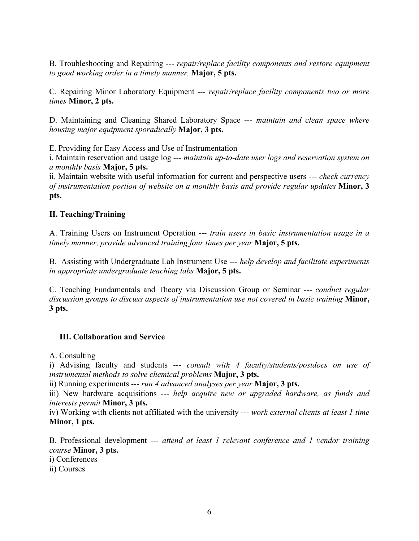B. Troubleshooting and Repairing --- *repair/replace facility components and restore equipment to good working order in a timely manner,* **Major, 5 pts.**

C. Repairing Minor Laboratory Equipment --- *repair/replace facility components two or more times* **Minor, 2 pts.**

D. Maintaining and Cleaning Shared Laboratory Space --- *maintain and clean space where housing major equipment sporadically* **Major, 3 pts.**

E. Providing for Easy Access and Use of Instrumentation

i. Maintain reservation and usage log --- *maintain up-to-date user logs and reservation system on a monthly basis* **Major, 5 pts.**

ii. Maintain website with useful information for current and perspective users --- *check currency of instrumentation portion of website on a monthly basis and provide regular updates* **Minor, 3 pts.**

## **II. Teaching/Training**

A. Training Users on Instrument Operation --- *train users in basic instrumentation usage in a timely manner, provide advanced training four times per year* **Major, 5 pts.**

B. Assisting with Undergraduate Lab Instrument Use --- *help develop and facilitate experiments in appropriate undergraduate teaching labs* **Major, 5 pts.**

C. Teaching Fundamentals and Theory via Discussion Group or Seminar --- *conduct regular discussion groups to discuss aspects of instrumentation use not covered in basic training* **Minor, 3 pts.**

## **III. Collaboration and Service**

A. Consulting

i) Advising faculty and students --- *consult with 4 faculty/students/postdocs on use of instrumental methods to solve chemical problems* **Major, 3 pts.**

ii) Running experiments --- *run 4 advanced analyses per year* **Major, 3 pts.**

iii) New hardware acquisitions --- *help acquire new or upgraded hardware, as funds and interests permit* **Minor, 3 pts.**

iv) Working with clients not affiliated with the university --- *work external clients at least 1 time* **Minor, 1 pts.**

B. Professional development --- *attend at least 1 relevant conference and 1 vendor training course* **Minor, 3 pts.**

i) Conferences

ii) Courses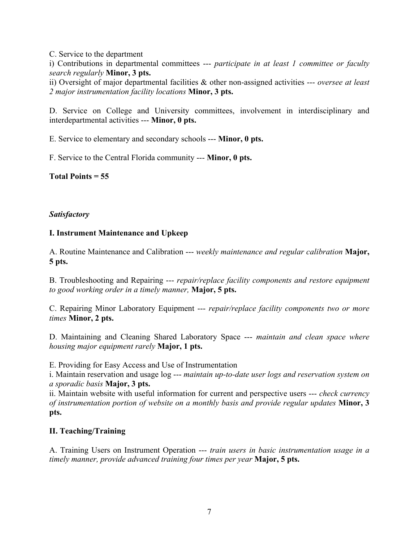C. Service to the department

i) Contributions in departmental committees --- *participate in at least 1 committee or faculty search regularly* **Minor, 3 pts.**

ii) Oversight of major departmental facilities & other non-assigned activities --- *oversee at least 2 major instrumentation facility locations* **Minor, 3 pts.**

D. Service on College and University committees, involvement in interdisciplinary and interdepartmental activities --- **Minor, 0 pts.**

E. Service to elementary and secondary schools --- **Minor, 0 pts.**

F. Service to the Central Florida community --- **Minor, 0 pts.**

**Total Points = 55**

## *Satisfactory*

## **I. Instrument Maintenance and Upkeep**

A. Routine Maintenance and Calibration --- *weekly maintenance and regular calibration* **Major, 5 pts.**

B. Troubleshooting and Repairing --- *repair/replace facility components and restore equipment to good working order in a timely manner,* **Major, 5 pts.**

C. Repairing Minor Laboratory Equipment --- *repair/replace facility components two or more times* **Minor, 2 pts.**

D. Maintaining and Cleaning Shared Laboratory Space --- *maintain and clean space where housing major equipment rarely* **Major, 1 pts.**

E. Providing for Easy Access and Use of Instrumentation

i. Maintain reservation and usage log --- *maintain up-to-date user logs and reservation system on a sporadic basis* **Major, 3 pts.**

ii. Maintain website with useful information for current and perspective users --- *check currency of instrumentation portion of website on a monthly basis and provide regular updates* **Minor, 3 pts.**

## **II. Teaching/Training**

A. Training Users on Instrument Operation --- *train users in basic instrumentation usage in a timely manner, provide advanced training four times per year* **Major, 5 pts.**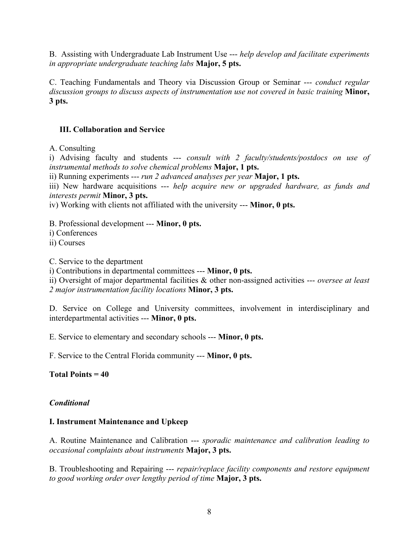B. Assisting with Undergraduate Lab Instrument Use --- *help develop and facilitate experiments in appropriate undergraduate teaching labs* **Major, 5 pts.**

C. Teaching Fundamentals and Theory via Discussion Group or Seminar --- *conduct regular discussion groups to discuss aspects of instrumentation use not covered in basic training* **Minor, 3 pts.**

## **III. Collaboration and Service**

A. Consulting

i) Advising faculty and students --- *consult with 2 faculty/students/postdocs on use of instrumental methods to solve chemical problems* **Major, 1 pts.**

ii) Running experiments --- *run 2 advanced analyses per year* **Major, 1 pts.**

iii) New hardware acquisitions --- *help acquire new or upgraded hardware, as funds and interests permit* **Minor, 3 pts.**

iv) Working with clients not affiliated with the university --- **Minor, 0 pts.**

B. Professional development --- **Minor, 0 pts.**

i) Conferences

ii) Courses

C. Service to the department

i) Contributions in departmental committees --- **Minor, 0 pts.**

ii) Oversight of major departmental facilities & other non-assigned activities --- *oversee at least 2 major instrumentation facility locations* **Minor, 3 pts.**

D. Service on College and University committees, involvement in interdisciplinary and interdepartmental activities --- **Minor, 0 pts.**

E. Service to elementary and secondary schools --- **Minor, 0 pts.**

F. Service to the Central Florida community --- **Minor, 0 pts.**

**Total Points = 40**

## *Conditional*

## **I. Instrument Maintenance and Upkeep**

A. Routine Maintenance and Calibration --- *sporadic maintenance and calibration leading to occasional complaints about instruments* **Major, 3 pts.**

B. Troubleshooting and Repairing --- *repair/replace facility components and restore equipment to good working order over lengthy period of time* **Major, 3 pts.**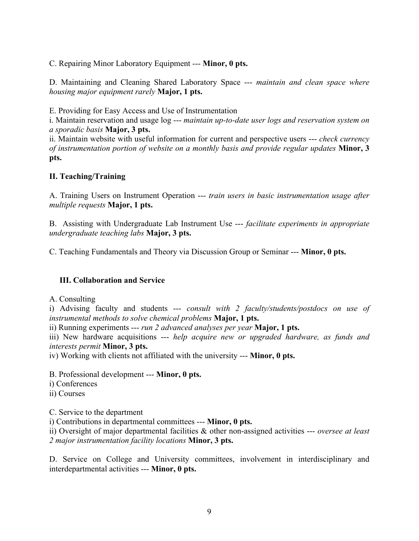C. Repairing Minor Laboratory Equipment --- **Minor, 0 pts.**

D. Maintaining and Cleaning Shared Laboratory Space --- *maintain and clean space where housing major equipment rarely* **Major, 1 pts.**

E. Providing for Easy Access and Use of Instrumentation

i. Maintain reservation and usage log --- *maintain up-to-date user logs and reservation system on a sporadic basis* **Major, 3 pts.**

ii. Maintain website with useful information for current and perspective users --- *check currency of instrumentation portion of website on a monthly basis and provide regular updates* **Minor, 3 pts.**

## **II. Teaching/Training**

A. Training Users on Instrument Operation --- *train users in basic instrumentation usage after multiple requests* **Major, 1 pts.**

B. Assisting with Undergraduate Lab Instrument Use --- *facilitate experiments in appropriate undergraduate teaching labs* **Major, 3 pts.**

C. Teaching Fundamentals and Theory via Discussion Group or Seminar --- **Minor, 0 pts.**

## **III. Collaboration and Service**

A. Consulting

i) Advising faculty and students --- *consult with 2 faculty/students/postdocs on use of instrumental methods to solve chemical problems* **Major, 1 pts.**

ii) Running experiments --- *run 2 advanced analyses per year* **Major, 1 pts.**

iii) New hardware acquisitions --- *help acquire new or upgraded hardware, as funds and interests permit* **Minor, 3 pts.**

iv) Working with clients not affiliated with the university --- **Minor, 0 pts.**

B. Professional development --- **Minor, 0 pts.**

i) Conferences

ii) Courses

C. Service to the department

i) Contributions in departmental committees --- **Minor, 0 pts.**

ii) Oversight of major departmental facilities & other non-assigned activities --- *oversee at least 2 major instrumentation facility locations* **Minor, 3 pts.**

D. Service on College and University committees, involvement in interdisciplinary and interdepartmental activities --- **Minor, 0 pts.**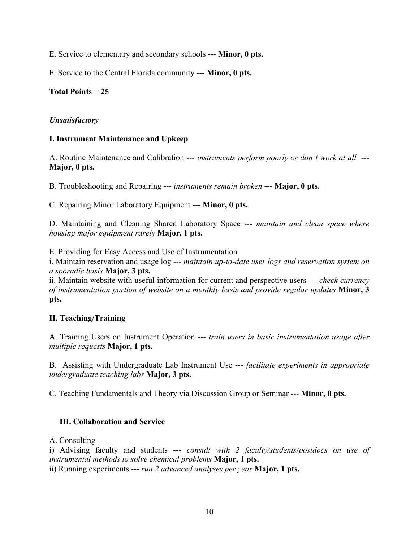E. Service to elementary and secondary schools --- **Minor, 0 pts.**

F. Service to the Central Florida community --- **Minor, 0 pts.**

# **Total Points = 25**

# *Unsatisfactory*

# **I. Instrument Maintenance and Upkeep**

A. Routine Maintenance and Calibration --- *instruments perform poorly or don't work at all ---* **Major, 0 pts.**

B. Troubleshooting and Repairing --- *instruments remain broken* --- **Major, 0 pts.**

C. Repairing Minor Laboratory Equipment --- **Minor, 0 pts.**

D. Maintaining and Cleaning Shared Laboratory Space --- *maintain and clean space where housing major equipment rarely* **Major, 1 pts.**

E. Providing for Easy Access and Use of Instrumentation

i. Maintain reservation and usage log --- *maintain up-to-date user logs and reservation system on a sporadic basis* **Major, 3 pts.**

ii. Maintain website with useful information for current and perspective users --- *check currency of instrumentation portion of website on a monthly basis and provide regular updates* **Minor, 3 pts.**

# **II. Teaching/Training**

A. Training Users on Instrument Operation --- *train users in basic instrumentation usage after multiple requests* **Major, 1 pts.**

B. Assisting with Undergraduate Lab Instrument Use --- *facilitate experiments in appropriate undergraduate teaching labs* **Major, 3 pts.**

C. Teaching Fundamentals and Theory via Discussion Group or Seminar --- **Minor, 0 pts.**

# **III. Collaboration and Service**

A. Consulting

i) Advising faculty and students --- *consult with 2 faculty/students/postdocs on use of instrumental methods to solve chemical problems* **Major, 1 pts.**

ii) Running experiments --- *run 2 advanced analyses per year* **Major, 1 pts.**